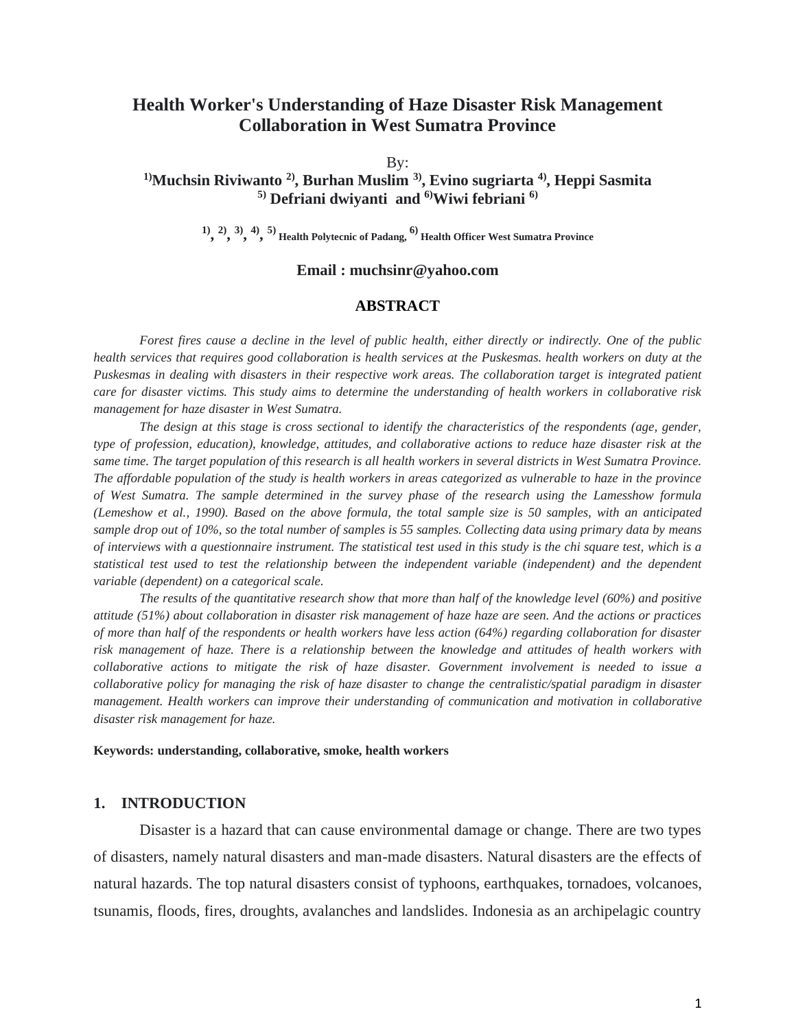# **Health Worker's Understanding of Haze Disaster Risk Management Collaboration in West Sumatra Province**

By:

## **1)Muchsin Riviwanto 2) , Burhan Muslim 3) , Evino sugriarta 4) , Heppi Sasmita 5) Defriani dwiyanti and 6)Wiwi febriani 6)**

**1) , 2) , 3) , 4) , 5) Health Polytecnic of Padang, 6) Health Officer West Sumatra Province**

#### **Email : muchsinr@yahoo.com**

#### **ABSTRACT**

*Forest fires cause a decline in the level of public health, either directly or indirectly. One of the public health services that requires good collaboration is health services at the Puskesmas. health workers on duty at the Puskesmas in dealing with disasters in their respective work areas. The collaboration target is integrated patient care for disaster victims. This study aims to determine the understanding of health workers in collaborative risk management for haze disaster in West Sumatra.*

*The design at this stage is cross sectional to identify the characteristics of the respondents (age, gender, type of profession, education), knowledge, attitudes, and collaborative actions to reduce haze disaster risk at the same time. The target population of this research is all health workers in several districts in West Sumatra Province. The affordable population of the study is health workers in areas categorized as vulnerable to haze in the province of West Sumatra. The sample determined in the survey phase of the research using the Lamesshow formula (Lemeshow et al., 1990). Based on the above formula, the total sample size is 50 samples, with an anticipated sample drop out of 10%, so the total number of samples is 55 samples. Collecting data using primary data by means of interviews with a questionnaire instrument. The statistical test used in this study is the chi square test, which is a statistical test used to test the relationship between the independent variable (independent) and the dependent variable (dependent) on a categorical scale.*

*The results of the quantitative research show that more than half of the knowledge level (60%) and positive attitude (51%) about collaboration in disaster risk management of haze haze are seen. And the actions or practices of more than half of the respondents or health workers have less action (64%) regarding collaboration for disaster risk management of haze. There is a relationship between the knowledge and attitudes of health workers with collaborative actions to mitigate the risk of haze disaster. Government involvement is needed to issue a collaborative policy for managing the risk of haze disaster to change the centralistic/spatial paradigm in disaster management. Health workers can improve their understanding of communication and motivation in collaborative disaster risk management for haze.*

#### **Keywords: understanding, collaborative, smoke, health workers**

#### **1. INTRODUCTION**

Disaster is a hazard that can cause environmental damage or change. There are two types of disasters, namely natural disasters and man-made disasters. Natural disasters are the effects of natural hazards. The top natural disasters consist of typhoons, earthquakes, tornadoes, volcanoes, tsunamis, floods, fires, droughts, avalanches and landslides. Indonesia as an archipelagic country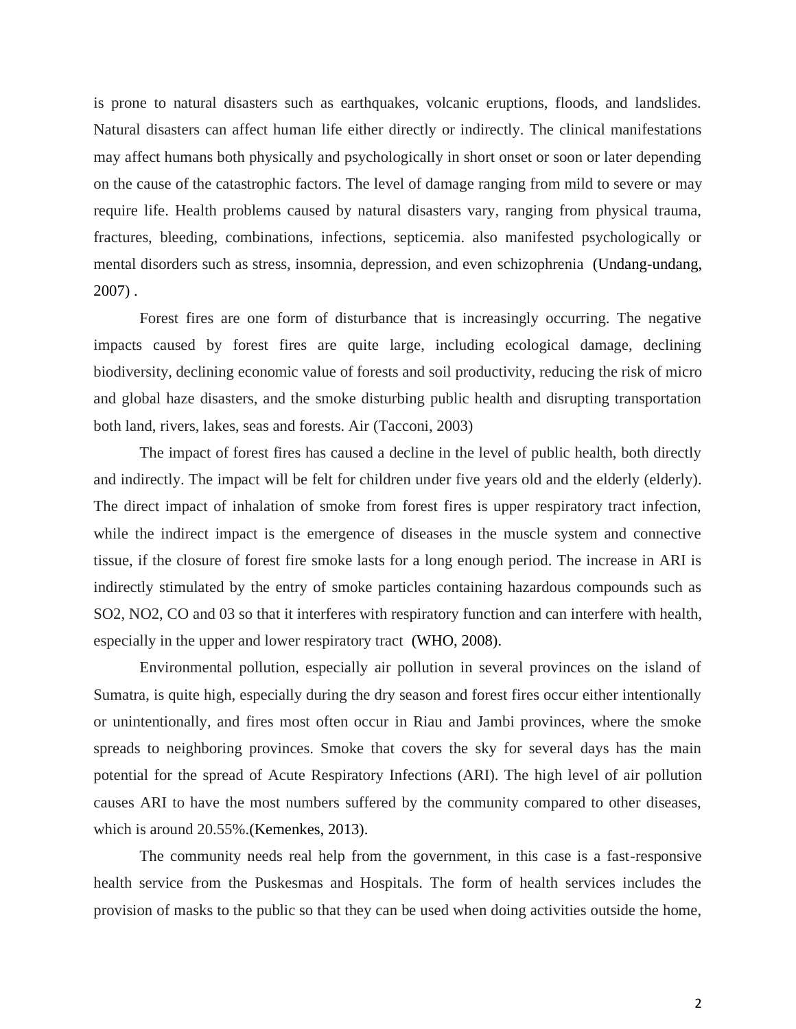is prone to natural disasters such as earthquakes, volcanic eruptions, floods, and landslides. Natural disasters can affect human life either directly or indirectly. The clinical manifestations may affect humans both physically and psychologically in short onset or soon or later depending on the cause of the catastrophic factors. The level of damage ranging from mild to severe or may require life. Health problems caused by natural disasters vary, ranging from physical trauma, fractures, bleeding, combinations, infections, septicemia. also manifested psychologically or mental disorders such as stress, insomnia, depression, and even schizophrenia (Undang-undang, 2007) .

Forest fires are one form of disturbance that is increasingly occurring. The negative impacts caused by forest fires are quite large, including ecological damage, declining biodiversity, declining economic value of forests and soil productivity, reducing the risk of micro and global haze disasters, and the smoke disturbing public health and disrupting transportation both land, rivers, lakes, seas and forests. Air (Tacconi, 2003)

The impact of forest fires has caused a decline in the level of public health, both directly and indirectly. The impact will be felt for children under five years old and the elderly (elderly). The direct impact of inhalation of smoke from forest fires is upper respiratory tract infection, while the indirect impact is the emergence of diseases in the muscle system and connective tissue, if the closure of forest fire smoke lasts for a long enough period. The increase in ARI is indirectly stimulated by the entry of smoke particles containing hazardous compounds such as SO2, NO2, CO and 03 so that it interferes with respiratory function and can interfere with health, especially in the upper and lower respiratory tract (WHO, 2008).

Environmental pollution, especially air pollution in several provinces on the island of Sumatra, is quite high, especially during the dry season and forest fires occur either intentionally or unintentionally, and fires most often occur in Riau and Jambi provinces, where the smoke spreads to neighboring provinces. Smoke that covers the sky for several days has the main potential for the spread of Acute Respiratory Infections (ARI). The high level of air pollution causes ARI to have the most numbers suffered by the community compared to other diseases, which is around 20.55%.(Kemenkes, 2013).

The community needs real help from the government, in this case is a fast-responsive health service from the Puskesmas and Hospitals. The form of health services includes the provision of masks to the public so that they can be used when doing activities outside the home,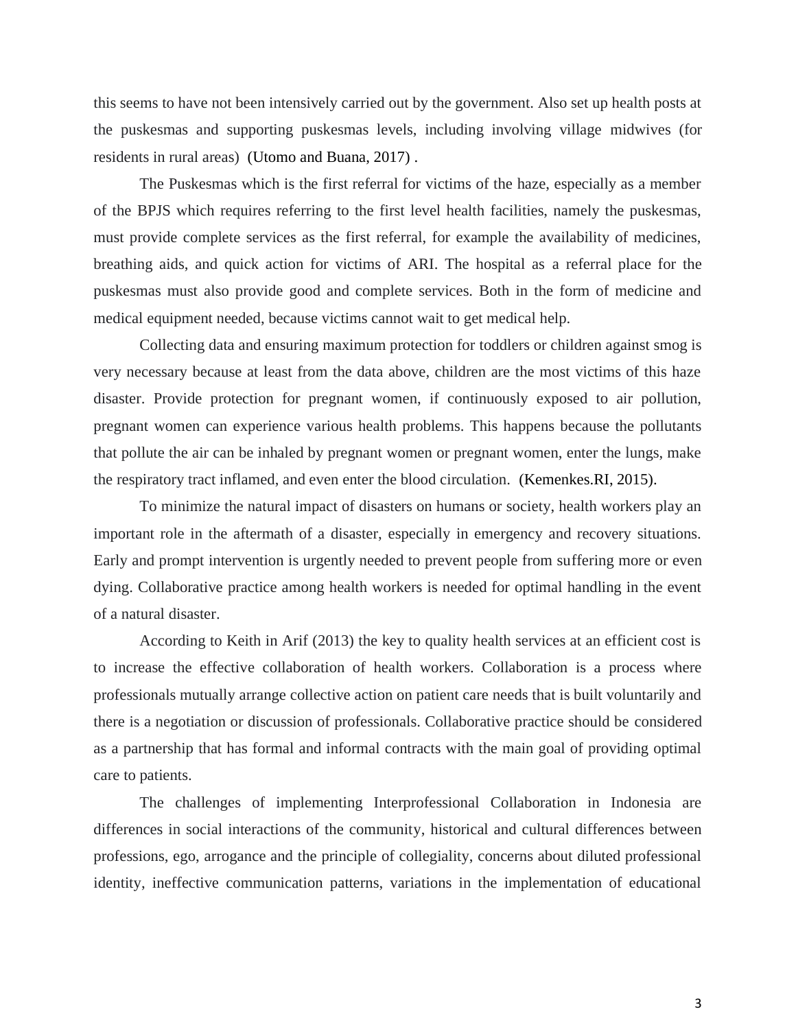this seems to have not been intensively carried out by the government. Also set up health posts at the puskesmas and supporting puskesmas levels, including involving village midwives (for residents in rural areas) (Utomo and Buana, 2017) .

The Puskesmas which is the first referral for victims of the haze, especially as a member of the BPJS which requires referring to the first level health facilities, namely the puskesmas, must provide complete services as the first referral, for example the availability of medicines, breathing aids, and quick action for victims of ARI. The hospital as a referral place for the puskesmas must also provide good and complete services. Both in the form of medicine and medical equipment needed, because victims cannot wait to get medical help.

Collecting data and ensuring maximum protection for toddlers or children against smog is very necessary because at least from the data above, children are the most victims of this haze disaster. Provide protection for pregnant women, if continuously exposed to air pollution, pregnant women can experience various health problems. This happens because the pollutants that pollute the air can be inhaled by pregnant women or pregnant women, enter the lungs, make the respiratory tract inflamed, and even enter the blood circulation. (Kemenkes.RI, 2015).

To minimize the natural impact of disasters on humans or society, health workers play an important role in the aftermath of a disaster, especially in emergency and recovery situations. Early and prompt intervention is urgently needed to prevent people from suffering more or even dying. Collaborative practice among health workers is needed for optimal handling in the event of a natural disaster.

According to Keith in Arif (2013) the key to quality health services at an efficient cost is to increase the effective collaboration of health workers. Collaboration is a process where professionals mutually arrange collective action on patient care needs that is built voluntarily and there is a negotiation or discussion of professionals. Collaborative practice should be considered as a partnership that has formal and informal contracts with the main goal of providing optimal care to patients.

The challenges of implementing Interprofessional Collaboration in Indonesia are differences in social interactions of the community, historical and cultural differences between professions, ego, arrogance and the principle of collegiality, concerns about diluted professional identity, ineffective communication patterns, variations in the implementation of educational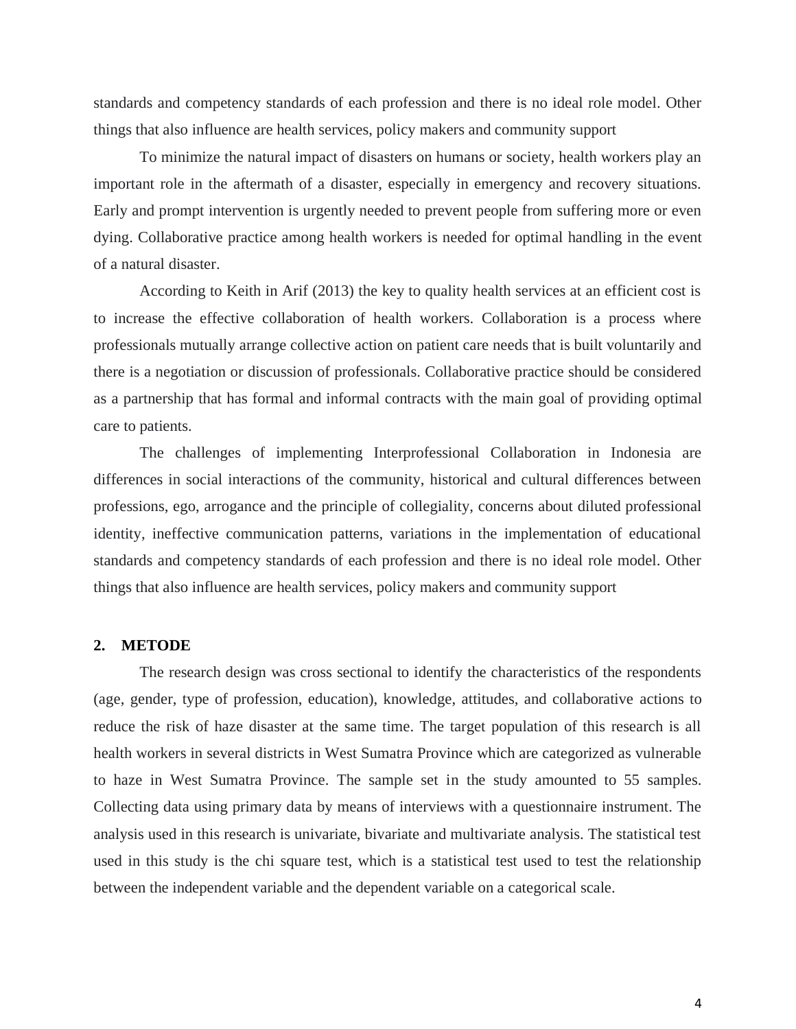standards and competency standards of each profession and there is no ideal role model. Other things that also influence are health services, policy makers and community support

To minimize the natural impact of disasters on humans or society, health workers play an important role in the aftermath of a disaster, especially in emergency and recovery situations. Early and prompt intervention is urgently needed to prevent people from suffering more or even dying. Collaborative practice among health workers is needed for optimal handling in the event of a natural disaster.

According to Keith in Arif (2013) the key to quality health services at an efficient cost is to increase the effective collaboration of health workers. Collaboration is a process where professionals mutually arrange collective action on patient care needs that is built voluntarily and there is a negotiation or discussion of professionals. Collaborative practice should be considered as a partnership that has formal and informal contracts with the main goal of providing optimal care to patients.

The challenges of implementing Interprofessional Collaboration in Indonesia are differences in social interactions of the community, historical and cultural differences between professions, ego, arrogance and the principle of collegiality, concerns about diluted professional identity, ineffective communication patterns, variations in the implementation of educational standards and competency standards of each profession and there is no ideal role model. Other things that also influence are health services, policy makers and community support

#### **2. METODE**

The research design was cross sectional to identify the characteristics of the respondents (age, gender, type of profession, education), knowledge, attitudes, and collaborative actions to reduce the risk of haze disaster at the same time. The target population of this research is all health workers in several districts in West Sumatra Province which are categorized as vulnerable to haze in West Sumatra Province. The sample set in the study amounted to 55 samples. Collecting data using primary data by means of interviews with a questionnaire instrument. The analysis used in this research is univariate, bivariate and multivariate analysis. The statistical test used in this study is the chi square test, which is a statistical test used to test the relationship between the independent variable and the dependent variable on a categorical scale.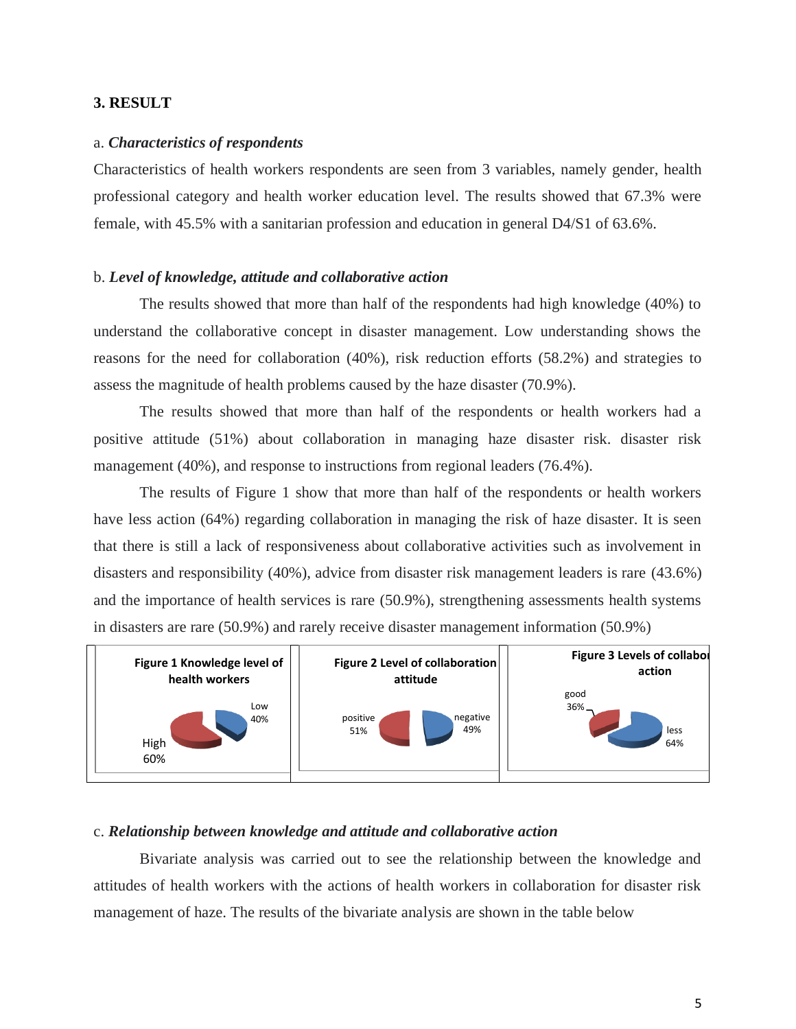### **3. RESULT**

#### a. *Characteristics of respondents*

Characteristics of health workers respondents are seen from 3 variables, namely gender, health professional category and health worker education level. The results showed that 67.3% were female, with 45.5% with a sanitarian profession and education in general D4/S1 of 63.6%.

#### b. *Level of knowledge, attitude and collaborative action*

The results showed that more than half of the respondents had high knowledge (40%) to understand the collaborative concept in disaster management. Low understanding shows the reasons for the need for collaboration (40%), risk reduction efforts (58.2%) and strategies to assess the magnitude of health problems caused by the haze disaster (70.9%).

The results showed that more than half of the respondents or health workers had a positive attitude (51%) about collaboration in managing haze disaster risk. disaster risk management (40%), and response to instructions from regional leaders (76.4%).

The results of Figure 1 show that more than half of the respondents or health workers have less action (64%) regarding collaboration in managing the risk of haze disaster. It is seen that there is still a lack of responsiveness about collaborative activities such as involvement in disasters and responsibility (40%), advice from disaster risk management leaders is rare (43.6%) and the importance of health services is rare (50.9%), strengthening assessments health systems in disasters are rare (50.9%) and rarely receive disaster management information (50.9%)



### c. *Relationship between knowledge and attitude and collaborative action*

Bivariate analysis was carried out to see the relationship between the knowledge and attitudes of health workers with the actions of health workers in collaboration for disaster risk management of haze. The results of the bivariate analysis are shown in the table below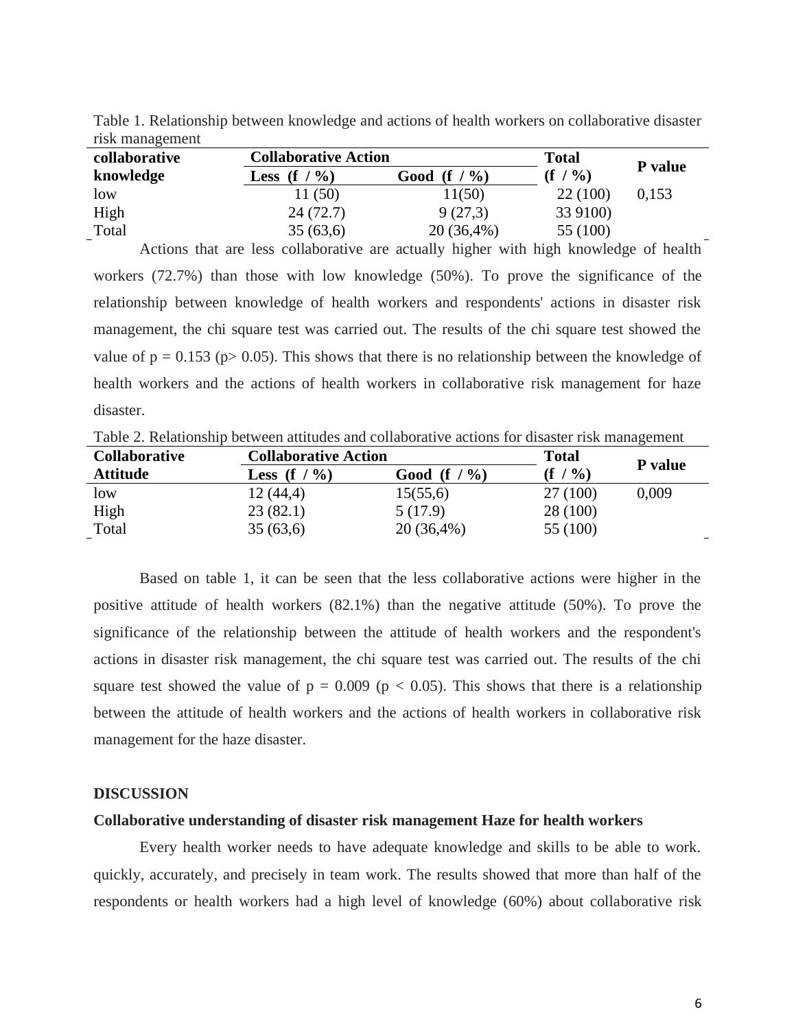| $11.011$ $11.0011$ $11.001$ $11.001$ |                             |                     |              |         |  |  |
|--------------------------------------|-----------------------------|---------------------|--------------|---------|--|--|
| collaborative                        | <b>Collaborative Action</b> |                     | <b>Total</b> |         |  |  |
| knowledge                            | $\%$<br>Less $(f /$         | $(f / \% )$<br>Good | $(f / \%)$   | P value |  |  |
| low                                  | 11(50)                      | 11(50)              | 22(100)      | 0,153   |  |  |
| High                                 | 24(72.7)                    | 9(27,3)             | 33 9100)     |         |  |  |
| Total                                | 35(63,6)                    | $20(36,4\%)$        | 55 (100)     |         |  |  |

Table 1. Relationship between knowledge and actions of health workers on collaborative disaster risk management

Actions that are less collaborative are actually higher with high knowledge of health workers (72.7%) than those with low knowledge (50%). To prove the significance of the relationship between knowledge of health workers and respondents' actions in disaster risk management, the chi square test was carried out. The results of the chi square test showed the value of  $p = 0.153$  ( $p > 0.05$ ). This shows that there is no relationship between the knowledge of health workers and the actions of health workers in collaborative risk management for haze disaster.

Table 2. Relationship between attitudes and collaborative actions for disaster risk management

| <b>Collaborative</b> | <b>Collaborative Action</b>    |                | <b>Total</b> |         |
|----------------------|--------------------------------|----------------|--------------|---------|
| <b>Attitude</b>      | $\mathcal{O}_0$<br>Less (f $/$ | Good (f $/$ %) | $(f / \%)$   | P value |
| low                  | 12(44,4)                       | 15(55,6)       | 27(100)      | 0.009   |
| High                 | 23(82.1)                       | 5(17.9)        | 28 (100)     |         |
| Total                | 35(63,6)                       | 20 (36,4%)     | 55 (100)     |         |

Based on table 1, it can be seen that the less collaborative actions were higher in the positive attitude of health workers (82.1%) than the negative attitude (50%). To prove the significance of the relationship between the attitude of health workers and the respondent's actions in disaster risk management, the chi square test was carried out. The results of the chi square test showed the value of  $p = 0.009$  ( $p < 0.05$ ). This shows that there is a relationship between the attitude of health workers and the actions of health workers in collaborative risk management for the haze disaster.

#### **DISCUSSION**

#### **Collaborative understanding of disaster risk management Haze for health workers**

Every health worker needs to have adequate knowledge and skills to be able to work. quickly, accurately, and precisely in team work. The results showed that more than half of the respondents or health workers had a high level of knowledge (60%) about collaborative risk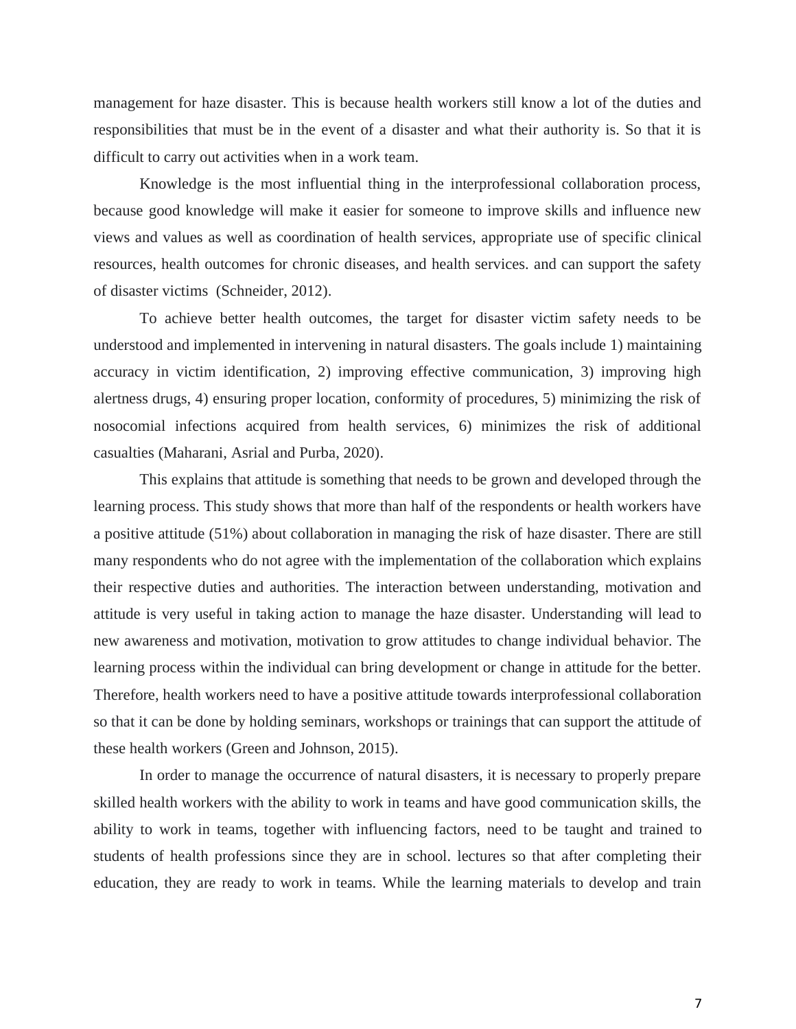management for haze disaster. This is because health workers still know a lot of the duties and responsibilities that must be in the event of a disaster and what their authority is. So that it is difficult to carry out activities when in a work team.

Knowledge is the most influential thing in the interprofessional collaboration process, because good knowledge will make it easier for someone to improve skills and influence new views and values as well as coordination of health services, appropriate use of specific clinical resources, health outcomes for chronic diseases, and health services. and can support the safety of disaster victims (Schneider, 2012).

To achieve better health outcomes, the target for disaster victim safety needs to be understood and implemented in intervening in natural disasters. The goals include 1) maintaining accuracy in victim identification, 2) improving effective communication, 3) improving high alertness drugs, 4) ensuring proper location, conformity of procedures, 5) minimizing the risk of nosocomial infections acquired from health services, 6) minimizes the risk of additional casualties (Maharani, Asrial and Purba, 2020).

This explains that attitude is something that needs to be grown and developed through the learning process. This study shows that more than half of the respondents or health workers have a positive attitude (51%) about collaboration in managing the risk of haze disaster. There are still many respondents who do not agree with the implementation of the collaboration which explains their respective duties and authorities. The interaction between understanding, motivation and attitude is very useful in taking action to manage the haze disaster. Understanding will lead to new awareness and motivation, motivation to grow attitudes to change individual behavior. The learning process within the individual can bring development or change in attitude for the better. Therefore, health workers need to have a positive attitude towards interprofessional collaboration so that it can be done by holding seminars, workshops or trainings that can support the attitude of these health workers (Green and Johnson, 2015).

In order to manage the occurrence of natural disasters, it is necessary to properly prepare skilled health workers with the ability to work in teams and have good communication skills, the ability to work in teams, together with influencing factors, need to be taught and trained to students of health professions since they are in school. lectures so that after completing their education, they are ready to work in teams. While the learning materials to develop and train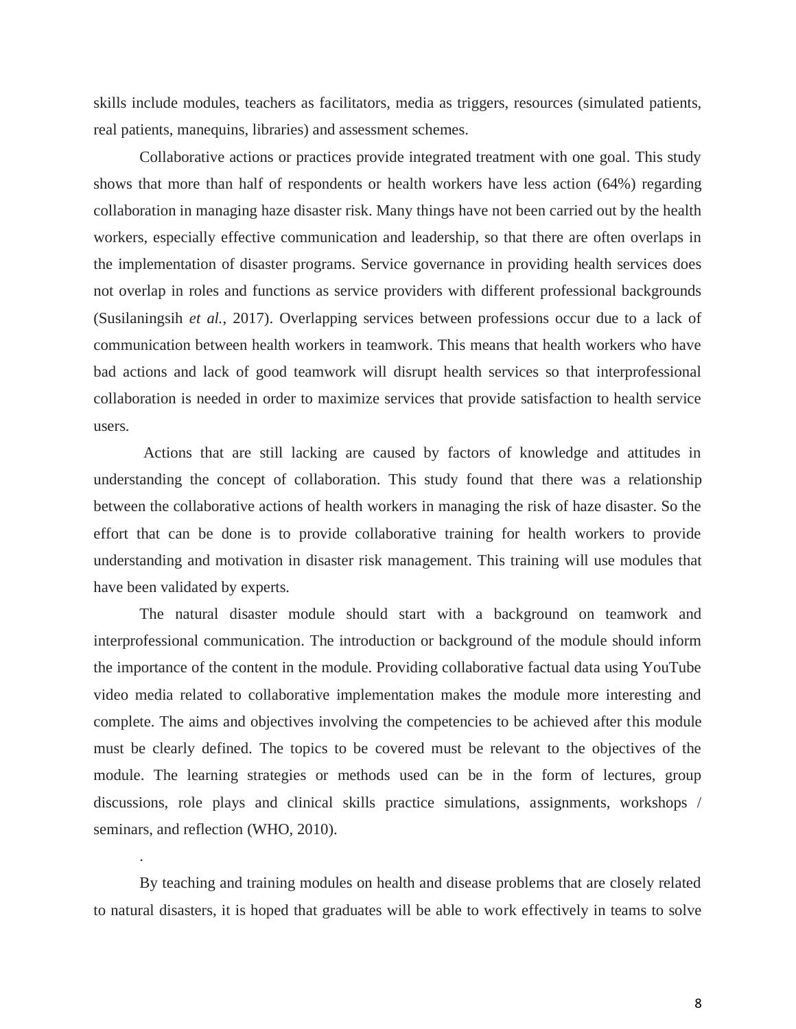skills include modules, teachers as facilitators, media as triggers, resources (simulated patients, real patients, manequins, libraries) and assessment schemes.

Collaborative actions or practices provide integrated treatment with one goal. This study shows that more than half of respondents or health workers have less action (64%) regarding collaboration in managing haze disaster risk. Many things have not been carried out by the health workers, especially effective communication and leadership, so that there are often overlaps in the implementation of disaster programs. Service governance in providing health services does not overlap in roles and functions as service providers with different professional backgrounds (Susilaningsih *et al.*, 2017). Overlapping services between professions occur due to a lack of communication between health workers in teamwork. This means that health workers who have bad actions and lack of good teamwork will disrupt health services so that interprofessional collaboration is needed in order to maximize services that provide satisfaction to health service users.

Actions that are still lacking are caused by factors of knowledge and attitudes in understanding the concept of collaboration. This study found that there was a relationship between the collaborative actions of health workers in managing the risk of haze disaster. So the effort that can be done is to provide collaborative training for health workers to provide understanding and motivation in disaster risk management. This training will use modules that have been validated by experts.

The natural disaster module should start with a background on teamwork and interprofessional communication. The introduction or background of the module should inform the importance of the content in the module. Providing collaborative factual data using YouTube video media related to collaborative implementation makes the module more interesting and complete. The aims and objectives involving the competencies to be achieved after this module must be clearly defined. The topics to be covered must be relevant to the objectives of the module. The learning strategies or methods used can be in the form of lectures, group discussions, role plays and clinical skills practice simulations, assignments, workshops / seminars, and reflection (WHO, 2010).

By teaching and training modules on health and disease problems that are closely related to natural disasters, it is hoped that graduates will be able to work effectively in teams to solve

.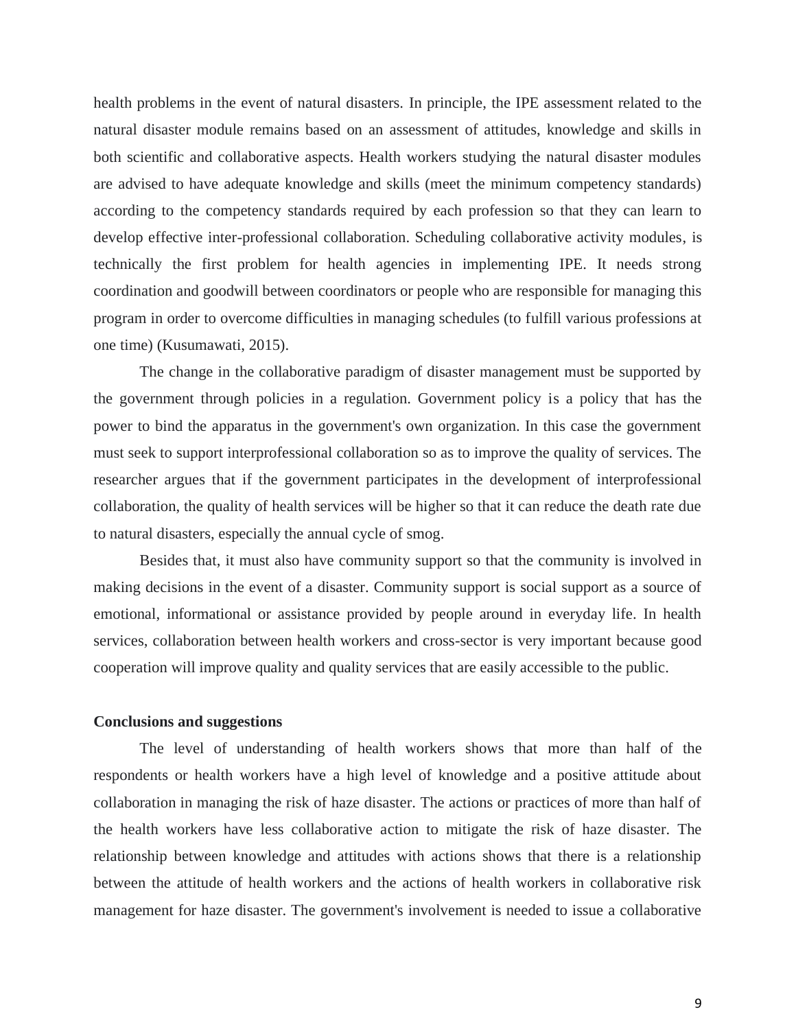health problems in the event of natural disasters. In principle, the IPE assessment related to the natural disaster module remains based on an assessment of attitudes, knowledge and skills in both scientific and collaborative aspects. Health workers studying the natural disaster modules are advised to have adequate knowledge and skills (meet the minimum competency standards) according to the competency standards required by each profession so that they can learn to develop effective inter-professional collaboration. Scheduling collaborative activity modules, is technically the first problem for health agencies in implementing IPE. It needs strong coordination and goodwill between coordinators or people who are responsible for managing this program in order to overcome difficulties in managing schedules (to fulfill various professions at one time) (Kusumawati, 2015).

The change in the collaborative paradigm of disaster management must be supported by the government through policies in a regulation. Government policy is a policy that has the power to bind the apparatus in the government's own organization. In this case the government must seek to support interprofessional collaboration so as to improve the quality of services. The researcher argues that if the government participates in the development of interprofessional collaboration, the quality of health services will be higher so that it can reduce the death rate due to natural disasters, especially the annual cycle of smog.

Besides that, it must also have community support so that the community is involved in making decisions in the event of a disaster. Community support is social support as a source of emotional, informational or assistance provided by people around in everyday life. In health services, collaboration between health workers and cross-sector is very important because good cooperation will improve quality and quality services that are easily accessible to the public.

### **Conclusions and suggestions**

The level of understanding of health workers shows that more than half of the respondents or health workers have a high level of knowledge and a positive attitude about collaboration in managing the risk of haze disaster. The actions or practices of more than half of the health workers have less collaborative action to mitigate the risk of haze disaster. The relationship between knowledge and attitudes with actions shows that there is a relationship between the attitude of health workers and the actions of health workers in collaborative risk management for haze disaster. The government's involvement is needed to issue a collaborative